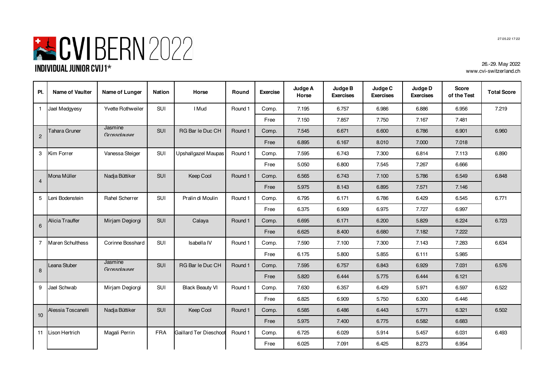

26.-29. May 2022 www.cvi-switzerland.ch

| PI.            | <b>Name of Vaulter</b> | Name of Lunger          | <b>Nation</b> | Horse                  | Round   | <b>Exercise</b> | Judge A<br>Horse | Judge B<br><b>Exercises</b> | Judge C<br><b>Exercises</b> | Judge D<br><b>Exercises</b> | <b>Score</b><br>of the Test | <b>Total Score</b> |
|----------------|------------------------|-------------------------|---------------|------------------------|---------|-----------------|------------------|-----------------------------|-----------------------------|-----------------------------|-----------------------------|--------------------|
| $\mathbf{1}$   | Jael Medgyesy          | Yvette Rothweiler       | SUI           | I Mud                  | Round 1 | Comp.           | 7.195            | 6.757                       | 6.986                       | 6.886                       | 6.956                       | 7.219              |
|                |                        |                         |               |                        |         | Free            | 7.150            | 7.857                       | 7.750                       | 7.167                       | 7.481                       |                    |
| $\overline{c}$ | Tahara Gruner          | Jasmine<br>Grossolauser | <b>SUI</b>    | RG Bar le Duc CH       | Round 1 | Comp.           | 7.545            | 6.671                       | 6.600                       | 6.786                       | 6.901                       | 6.960              |
|                |                        |                         |               |                        |         | Free            | 6.895            | 6.167                       | 8.010                       | 7.000                       | 7.018                       |                    |
| 3              | Kim Forrer             | Vanessa Steiger         | SUI           | Upshallgazel Maupas    | Round 1 | Comp.           | 7.595            | 6.743                       | 7.300                       | 6.814                       | 7.113                       | 6.890              |
|                |                        |                         |               |                        |         | Free            | 5.050            | 6.800                       | 7.545                       | 7.267                       | 6.666                       |                    |
| $\overline{4}$ | Mona Müller            | Nadia Büttiker          | <b>SUI</b>    | Keep Cool              | Round 1 | Comp.           | 6.565            | 6.743                       | 7.100                       | 5.786                       | 6.549                       | 6.848              |
|                |                        |                         |               |                        |         | Free            | 5.975            | 8.143                       | 6.895                       | 7.571                       | 7.146                       |                    |
| 5              | Leni Bodenstein        | Rahel Scherrer          | SUI           | Pralin di Moulin       | Round 1 | Comp.           | 6.795            | 6.171                       | 6.786                       | 6.429                       | 6.545                       | 6.771              |
|                |                        |                         |               |                        |         | Free            | 6.375            | 6.909                       | 6.975                       | 7.727                       | 6.997                       |                    |
| 6              | Alicia Trauffer        | Mirjam Degiorgi         | <b>SUI</b>    | Calaya                 | Round 1 | Comp.           | 6.695            | 6.171                       | 6.200                       | 5.829                       | 6.224                       | 6.723              |
|                |                        |                         |               |                        |         | Free            | 6.625            | 8.400                       | 6.680                       | 7.182                       | 7.222                       |                    |
| $\overline{7}$ | Maren Schulthess       | Corinne Bosshard        | SUI           | Isabella IV            | Round 1 | Comp.           | 7.590            | 7.100                       | 7.300                       | 7.143                       | 7.283                       | 6.634              |
|                |                        |                         |               |                        |         | Free            | 6.175            | 5.800                       | 5.855                       | 6.111                       | 5.985                       |                    |
| 8              | Leana Stuber           | Jasmine<br>Grossolauser | SUI           | RG Bar le Duc CH       | Round 1 | Comp.           | 7.595            | 6.757                       | 6.843                       | 6.929                       | 7.031                       | 6.576              |
|                |                        |                         |               |                        |         | Free            | 5.820            | 6.444                       | 5.775                       | 6.444                       | 6.121                       |                    |
| 9              | Jael Schwab            | Mirjam Degiorgi         | SUI           | <b>Black Beauty VI</b> | Round 1 | Comp.           | 7.630            | 6.357                       | 6.429                       | 5.971                       | 6.597                       | 6.522              |
|                |                        |                         |               |                        |         | Free            | 6.825            | 6.909                       | 5.750                       | 6.300                       | 6.446                       |                    |
| 10             | Alessia Toscanelli     | Nadja Büttiker          | <b>SUI</b>    | Keep Cool              | Round 1 | Comp.           | 6.585            | 6.486                       | 6.443                       | 5.771                       | 6.321                       | 6.502              |
|                |                        |                         |               |                        |         | Free            | 5.975            | 7.400                       | 6.775                       | 6.582                       | 6.683                       |                    |
| 11             | Lison Hertrich         | Magali Perrin           | <b>FRA</b>    | Gaillard Ter Dieschoot | Round 1 | Comp.           | 6.725            | 6.029                       | 5.914                       | 5.457                       | 6.031                       | 6.493              |
|                |                        |                         |               |                        |         | Free            | 6.025            | 7.091                       | 6.425                       | 8.273                       | 6.954                       |                    |

27.05.22 17:22